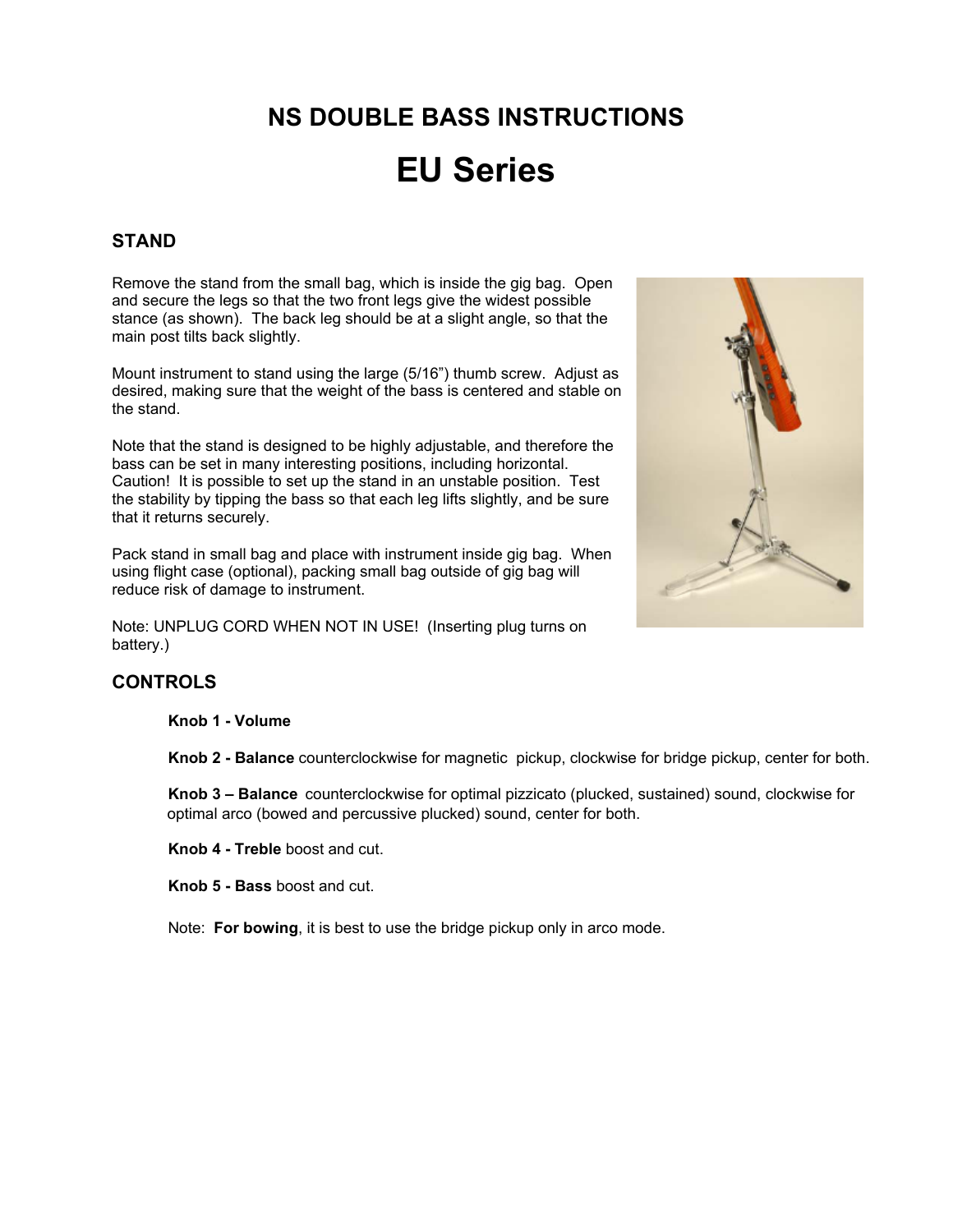# **NS DOUBLE BASS INSTRUCTIONS**

# **EU Series**

# **STAND**

Remove the stand from the small bag, which is inside the gig bag. Open and secure the legs so that the two front legs give the widest possible stance (as shown). The back leg should be at a slight angle, so that the main post tilts back slightly.

Mount instrument to stand using the large (5/16") thumb screw. Adjust as desired, making sure that the weight of the bass is centered and stable on the stand.

Note that the stand is designed to be highly adjustable, and therefore the bass can be set in many interesting positions, including horizontal. Caution! It is possible to set up the stand in an unstable position. Test the stability by tipping the bass so that each leg lifts slightly, and be sure that it returns securely.

Pack stand in small bag and place with instrument inside gig bag. When using flight case (optional), packing small bag outside of gig bag will reduce risk of damage to instrument.

Note: UNPLUG CORD WHEN NOT IN USE! (Inserting plug turns on battery.)



#### **Knob 1 - Volume**

**Knob 2 - Balance** counterclockwise for magnetic pickup, clockwise for bridge pickup, center for both.

**Knob 3 – Balance** counterclockwise for optimal pizzicato (plucked, sustained) sound, clockwise for optimal arco (bowed and percussive plucked) sound, center for both.

**Knob 4 - Treble** boost and cut.

**Knob 5 - Bass** boost and cut.

Note: **For bowing**, it is best to use the bridge pickup only in arco mode.